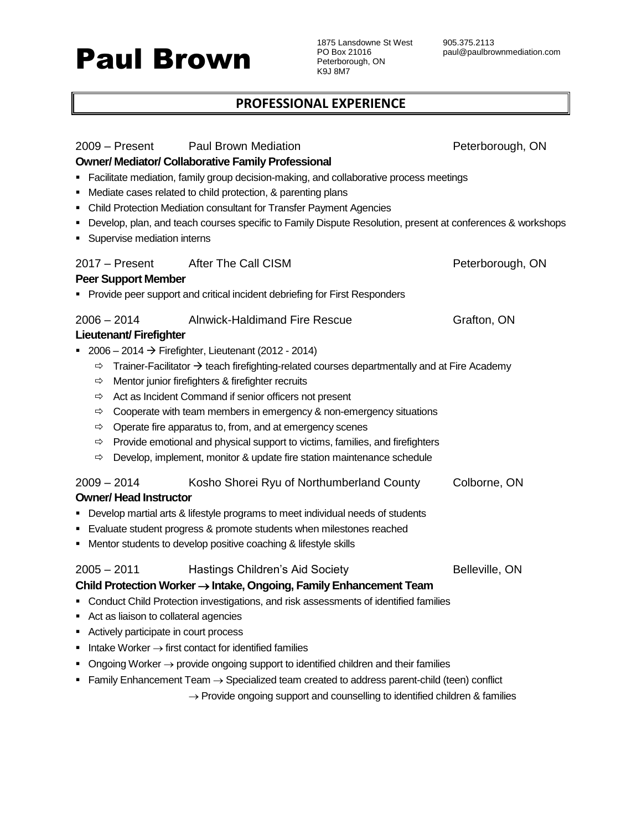# Paul Brown

1875 Lansdowne St West PO Box 21016 Peterborough, ON K9J 8M7

## **PROFESSIONAL EXPERIENCE**

| $2009 -$ Present<br>п<br>٠<br>п<br>Supervise mediation interns                                            | <b>Paul Brown Mediation</b><br><b>Owner/ Mediator/ Collaborative Family Professional</b><br>Facilitate mediation, family group decision-making, and collaborative process meetings<br>Mediate cases related to child protection, & parenting plans<br>Child Protection Mediation consultant for Transfer Payment Agencies<br>Develop, plan, and teach courses specific to Family Dispute Resolution, present at conferences & workshops                                                                                                                                                                                           | Peterborough, ON |
|-----------------------------------------------------------------------------------------------------------|-----------------------------------------------------------------------------------------------------------------------------------------------------------------------------------------------------------------------------------------------------------------------------------------------------------------------------------------------------------------------------------------------------------------------------------------------------------------------------------------------------------------------------------------------------------------------------------------------------------------------------------|------------------|
| $2017 -$ Present<br><b>Peer Support Member</b>                                                            | After The Call CISM<br>• Provide peer support and critical incident debriefing for First Responders                                                                                                                                                                                                                                                                                                                                                                                                                                                                                                                               | Peterborough, ON |
| $2006 - 2014$<br><b>Lieutenant/Firefighter</b><br>⇨<br>⇨<br>⇨<br>⇨<br>⇨<br>⇨<br>⇨                         | <b>Alnwick-Haldimand Fire Rescue</b><br>■ 2006 - 2014 $\rightarrow$ Firefighter, Lieutenant (2012 - 2014)<br>Trainer-Facilitator $\rightarrow$ teach firefighting-related courses departmentally and at Fire Academy<br>Mentor junior firefighters & firefighter recruits<br>Act as Incident Command if senior officers not present<br>Cooperate with team members in emergency & non-emergency situations<br>Operate fire apparatus to, from, and at emergency scenes<br>Provide emotional and physical support to victims, families, and firefighters<br>Develop, implement, monitor & update fire station maintenance schedule | Grafton, ON      |
| $2009 - 2014$<br><b>Owner/Head Instructor</b><br>٠                                                        | Kosho Shorei Ryu of Northumberland County<br>Develop martial arts & lifestyle programs to meet individual needs of students<br>Evaluate student progress & promote students when milestones reached<br>• Mentor students to develop positive coaching & lifestyle skills                                                                                                                                                                                                                                                                                                                                                          | Colborne, ON     |
| $2005 - 2011$<br>Act as liaison to collateral agencies<br>٠<br>Actively participate in court process<br>■ | <b>Hastings Children's Aid Society</b><br>Child Protection Worker → Intake, Ongoing, Family Enhancement Team<br>Conduct Child Protection investigations, and risk assessments of identified families<br>Intake Worker $\rightarrow$ first contact for identified families<br>Ongoing Worker $\rightarrow$ provide ongoing support to identified children and their families<br>Family Enhancement Team $\rightarrow$ Specialized team created to address parent-child (teen) conflict<br>$\rightarrow$ Provide ongoing support and counselling to identified children & families                                                  | Belleville, ON   |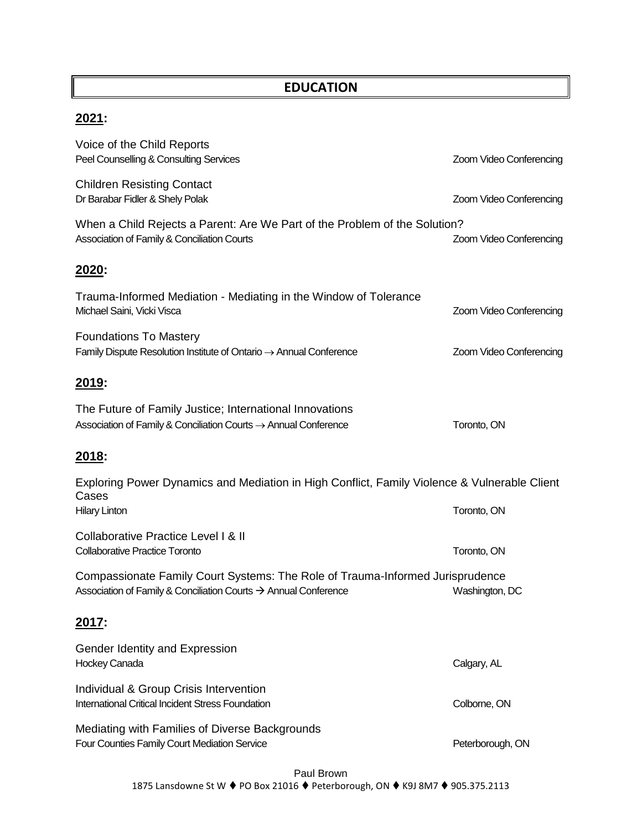## **EDUCATION**

# **2021:**

| Voice of the Child Reports<br>Peel Counselling & Consulting Services                                                                                         | Zoom Video Conferencing |
|--------------------------------------------------------------------------------------------------------------------------------------------------------------|-------------------------|
| <b>Children Resisting Contact</b><br>Dr Barabar Fidler & Shely Polak                                                                                         | Zoom Video Conferencing |
| When a Child Rejects a Parent: Are We Part of the Problem of the Solution?<br>Association of Family & Conciliation Courts                                    | Zoom Video Conferencing |
| <u> 2020:</u>                                                                                                                                                |                         |
| Trauma-Informed Mediation - Mediating in the Window of Tolerance<br>Michael Saini, Vicki Visca                                                               | Zoom Video Conferencing |
| <b>Foundations To Mastery</b><br>Family Dispute Resolution Institute of Ontario $\rightarrow$ Annual Conference                                              | Zoom Video Conferencing |
| 2019:                                                                                                                                                        |                         |
| The Future of Family Justice; International Innovations<br>Association of Family & Conciliation Courts $\rightarrow$ Annual Conference                       | Toronto, ON             |
| <u> 2018:</u>                                                                                                                                                |                         |
| Exploring Power Dynamics and Mediation in High Conflict, Family Violence & Vulnerable Client<br>Cases                                                        |                         |
| <b>Hilary Linton</b>                                                                                                                                         | Toronto, ON             |
| <b>Collaborative Practice Level I &amp; II</b><br><b>Collaborative Practice Toronto</b>                                                                      | Toronto, ON             |
| Compassionate Family Court Systems: The Role of Trauma-Informed Jurisprudence<br>Association of Family & Conciliation Courts $\rightarrow$ Annual Conference | Washington, DC          |
| <u> 2017:</u>                                                                                                                                                |                         |
| Gender Identity and Expression<br>Hockey Canada                                                                                                              | Calgary, AL             |
| Individual & Group Crisis Intervention<br><b>International Critical Incident Stress Foundation</b>                                                           | Colborne, ON            |
| Mediating with Families of Diverse Backgrounds<br>Four Counties Family Court Mediation Service                                                               | Peterborough, ON        |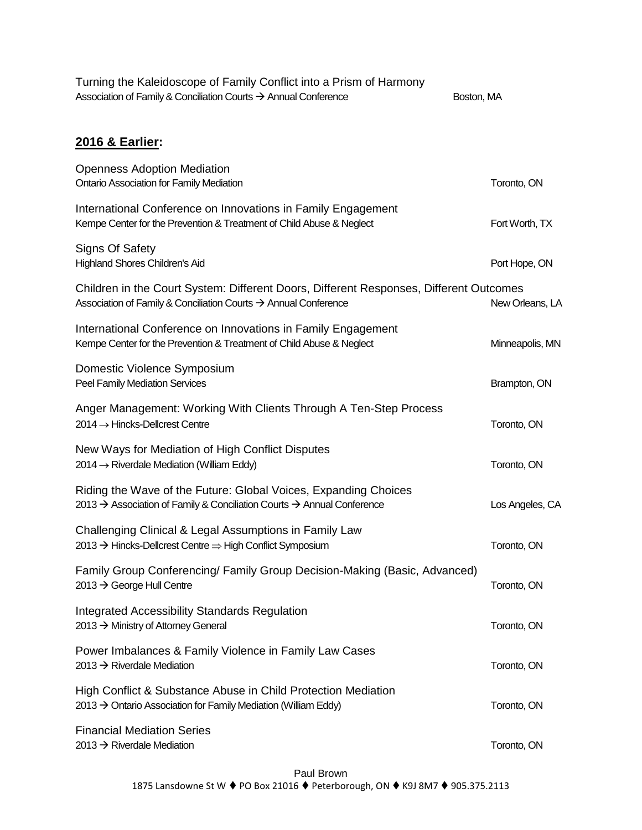| Turning the Kaleidoscope of Family Conflict into a Prism of Harmony<br>Association of Family & Conciliation Courts → Annual Conference                    | Boston, MA      |
|-----------------------------------------------------------------------------------------------------------------------------------------------------------|-----------------|
|                                                                                                                                                           |                 |
| 2016 & Earlier:                                                                                                                                           |                 |
| <b>Openness Adoption Mediation</b><br>Ontario Association for Family Mediation                                                                            | Toronto, ON     |
| International Conference on Innovations in Family Engagement<br>Kempe Center for the Prevention & Treatment of Child Abuse & Neglect                      | Fort Worth, TX  |
| <b>Signs Of Safety</b><br>Highland Shores Children's Aid                                                                                                  | Port Hope, ON   |
| Children in the Court System: Different Doors, Different Responses, Different Outcomes<br>Association of Family & Conciliation Courts → Annual Conference | New Orleans, LA |
| International Conference on Innovations in Family Engagement<br>Kempe Center for the Prevention & Treatment of Child Abuse & Neglect                      | Minneapolis, MN |
| Domestic Violence Symposium<br>Peel Family Mediation Services                                                                                             | Brampton, ON    |
| Anger Management: Working With Clients Through A Ten-Step Process<br>$2014 \rightarrow$ Hincks-Dellcrest Centre                                           | Toronto, ON     |
| New Ways for Mediation of High Conflict Disputes<br>$2014 \rightarrow$ Riverdale Mediation (William Eddy)                                                 | Toronto, ON     |
| Riding the Wave of the Future: Global Voices, Expanding Choices<br>2013 → Association of Family & Conciliation Courts → Annual Conference                 | Los Angeles, CA |
| Challenging Clinical & Legal Assumptions in Family Law<br>2013 → Hincks-Dellcrest Centre => High Conflict Symposium                                       | Toronto, ON     |
| Family Group Conferencing/ Family Group Decision-Making (Basic, Advanced)<br>2013 $\rightarrow$ George Hull Centre                                        | Toronto, ON     |
| <b>Integrated Accessibility Standards Regulation</b><br>2013 → Ministry of Attorney General                                                               | Toronto, ON     |
| Power Imbalances & Family Violence in Family Law Cases<br>2013 $\rightarrow$ Riverdale Mediation                                                          | Toronto, ON     |
| High Conflict & Substance Abuse in Child Protection Mediation<br>$2013 \rightarrow$ Ontario Association for Family Mediation (William Eddy)               | Toronto, ON     |
| <b>Financial Mediation Series</b><br>2013 $\rightarrow$ Riverdale Mediation                                                                               | Toronto, ON     |
|                                                                                                                                                           |                 |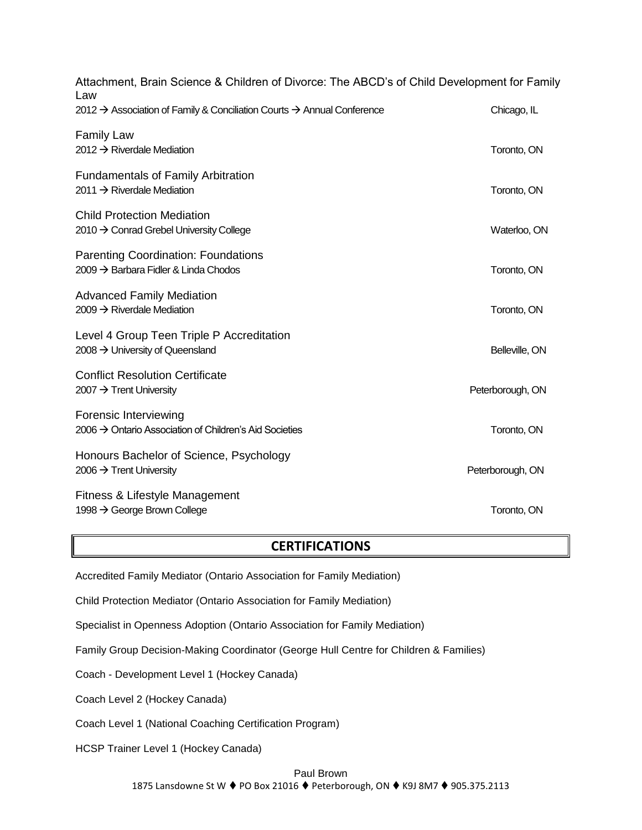| Attachment, Brain Science & Children of Divorce: The ABCD's of Child Development for Family<br>Law |                  |  |
|----------------------------------------------------------------------------------------------------|------------------|--|
| 2012 → Association of Family & Conciliation Courts → Annual Conference                             | Chicago, IL      |  |
| <b>Family Law</b><br>2012 $\rightarrow$ Riverdale Mediation                                        | Toronto, ON      |  |
| <b>Fundamentals of Family Arbitration</b><br>2011 $\rightarrow$ Riverdale Mediation                | Toronto, ON      |  |
| <b>Child Protection Mediation</b><br>2010 → Conrad Grebel University College                       | Waterloo, ON     |  |
| <b>Parenting Coordination: Foundations</b><br>2009 $\rightarrow$ Barbara Fidler & Linda Chodos     | Toronto, ON      |  |
| <b>Advanced Family Mediation</b><br>$2009 \rightarrow$ Riverdale Mediation                         | Toronto, ON      |  |
| Level 4 Group Teen Triple P Accreditation<br>2008 $\rightarrow$ University of Queensland           | Belleville, ON   |  |
| <b>Conflict Resolution Certificate</b><br>2007 $\rightarrow$ Trent University                      | Peterborough, ON |  |
| Forensic Interviewing<br>2006 $\rightarrow$ Ontario Association of Children's Aid Societies        | Toronto, ON      |  |
| Honours Bachelor of Science, Psychology<br>2006 $\rightarrow$ Trent University                     | Peterborough, ON |  |
| Fitness & Lifestyle Management<br>1998 → George Brown College                                      | Toronto, ON      |  |

### **CERTIFICATIONS**

Accredited Family Mediator (Ontario Association for Family Mediation)

Child Protection Mediator (Ontario Association for Family Mediation)

Specialist in Openness Adoption (Ontario Association for Family Mediation)

Family Group Decision-Making Coordinator (George Hull Centre for Children & Families)

Coach - Development Level 1 (Hockey Canada)

Coach Level 2 (Hockey Canada)

Coach Level 1 (National Coaching Certification Program)

HCSP Trainer Level 1 (Hockey Canada)